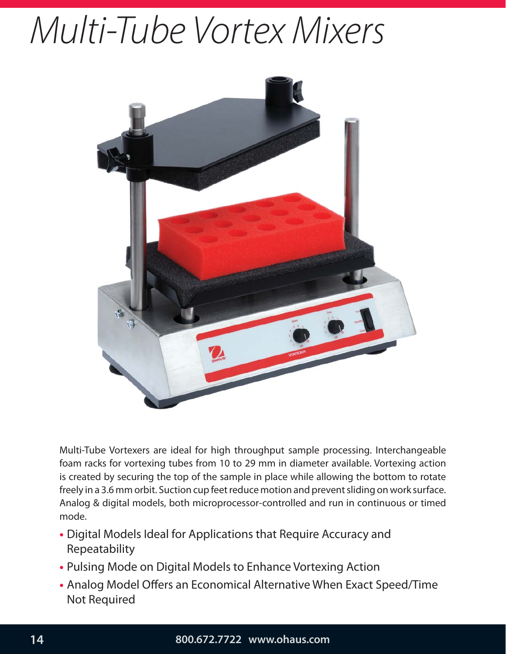# Multi-Tube Vortex Mixers



Multi-Tube Vortexers are ideal for high throughput sample processing. Interchangeable foam racks for vortexing tubes from 10 to 29 mm in diameter available. Vortexing action is created by securing the top of the sample in place while allowing the bottom to rotate freely in a 3.6 mm orbit. Suction cup feet reduce motion and prevent sliding on work surface. Analog & digital models, both microprocessor-controlled and run in continuous or timed mode.

- Digital Models Ideal for Applications that Require Accuracy and Repeatability
- Pulsing Mode on Digital Models to Enhance Vortexing Action
- Analog Model Offers an Economical Alternative When Exact Speed/Time Not Required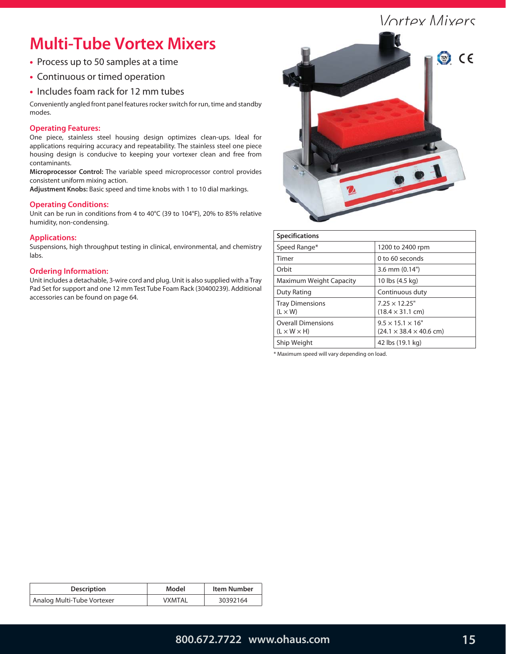## Vortey Mivers

# **Multi-Tube Vortex Mixers**

- Process up to 50 samples at a time
- Continuous or timed operation
- Includes foam rack for 12 mm tubes

Conveniently angled front panel features rocker switch for run, time and standby modes.

## **Operating Features:**

One piece, stainless steel housing design optimizes clean-ups. Ideal for applications requiring accuracy and repeatability. The stainless steel one piece housing design is conducive to keeping your vortexer clean and free from contaminants.

**Microprocessor Control:** The variable speed microprocessor control provides consistent uniform mixing action.

**Adjustment Knobs:** Basic speed and time knobs with 1 to 10 dial markings.

## **Operating Conditions:**

Unit can be run in conditions from 4 to 40°C (39 to 104°F), 20% to 85% relative humidity, non-condensing.

#### **Applications:**

Suspensions, high throughput testing in clinical, environmental, and chemistry labs.

#### **Ordering Information:**

Unit includes a detachable, 3-wire cord and plug. Unit is also supplied with a Tray Pad Set for support and one 12 mm Test Tube Foam Rack (30400239). Additional accessories can be found on page 64.



| <b>Specifications</b>                                |                                                                      |
|------------------------------------------------------|----------------------------------------------------------------------|
| Speed Range*                                         | 1200 to 2400 rpm                                                     |
| Timer                                                | 0 to 60 seconds                                                      |
| Orbit                                                | $3.6$ mm $(0.14")$                                                   |
| Maximum Weight Capacity                              | 10 lbs (4.5 kg)                                                      |
| Duty Rating                                          | Continuous duty                                                      |
| <b>Tray Dimensions</b><br>$(L \times W)$             | $7.25 \times 12.25$ "<br>$(18.4 \times 31.1 \text{ cm})$             |
| <b>Overall Dimensions</b><br>$(L \times W \times H)$ | $9.5 \times 15.1 \times 16$ "<br>$(24.1 \times 38.4 \times 40.6$ cm) |
| Ship Weight                                          | 42 lbs (19.1 kg)                                                     |

\* Maximum speed will vary depending on load.

| <b>Description</b>         | Model  | <b>Item Number</b> |
|----------------------------|--------|--------------------|
| Analog Multi-Tube Vortexer | VXMTAL | 30392164           |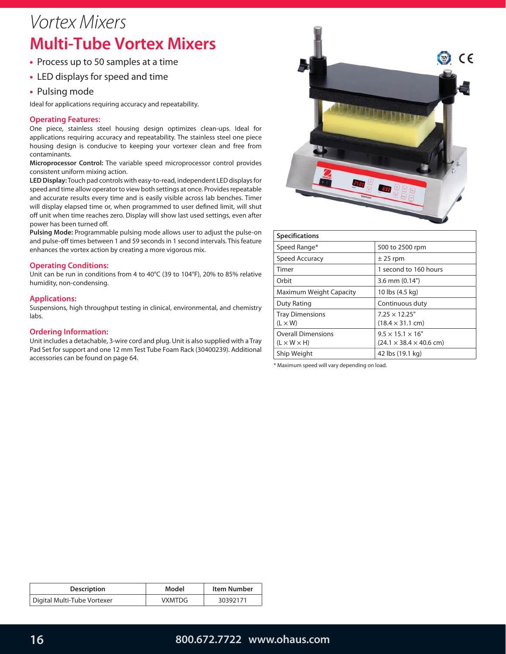# Vortex Mixers **Multi-Tube Vortex Mixers**

- Process up to 50 samples at a time
- LED displays for speed and time
- Pulsing mode

Ideal for applications requiring accuracy and repeatability.

#### **Operating Features:**

One piece, stainless steel housing design optimizes clean-ups. Ideal for applications requiring accuracy and repeatability. The stainless steel one piece housing design is conducive to keeping your vortexer clean and free from contaminants.

**Microprocessor Control:** The variable speed microprocessor control provides consistent uniform mixing action.

**LED Display:** Touch pad controls with easy-to-read, independent LED displays for speed and time allow operator to view both settings at once. Provides repeatable and accurate results every time and is easily visible across lab benches. Timer will display elapsed time or, when programmed to user defined limit, will shut off unit when time reaches zero. Display will show last used settings, even after power has been turned off.

**Pulsing Mode:** Programmable pulsing mode allows user to adjust the pulse-on and pulse-off times between 1 and 59 seconds in 1 second intervals. This feature enhances the vortex action by creating a more vigorous mix.

#### **Operating Conditions:**

Unit can be run in conditions from 4 to 40°C (39 to 104°F), 20% to 85% relative humidity, non-condensing.

#### **Applications:**

Suspensions, high throughput testing in clinical, environmental, and chemistry labs.

#### **Ordering Information:**

Unit includes a detachable, 3-wire cord and plug. Unit is also supplied with a Tray Pad Set for support and one 12 mm Test Tube Foam Rack (30400239). Additional accessories can be found on page 64.



| <b>Specifications</b>                                |                                                                      |
|------------------------------------------------------|----------------------------------------------------------------------|
| Speed Range*                                         | 500 to 2500 rpm                                                      |
| Speed Accuracy                                       | $±$ 25 rpm                                                           |
| Timer                                                | 1 second to 160 hours                                                |
| Orbit                                                | $3.6$ mm $(0.14")$                                                   |
| Maximum Weight Capacity                              | 10 lbs (4.5 kg)                                                      |
| Duty Rating                                          | Continuous duty                                                      |
| <b>Tray Dimensions</b><br>$(L \times W)$             | $7.25 \times 12.25"$<br>$(18.4 \times 31.1 \text{ cm})$              |
| <b>Overall Dimensions</b><br>$(L \times W \times H)$ | $9.5 \times 15.1 \times 16$ "<br>$(24.1 \times 38.4 \times 40.6$ cm) |
| Ship Weight                                          | 42 lbs (19.1 kg)                                                     |

\* Maximum speed will vary depending on load.

| <b>Description</b>          | Model         | Item Number |
|-----------------------------|---------------|-------------|
| Digital Multi-Tube Vortexer | <b>VXMTDG</b> | 30392171    |